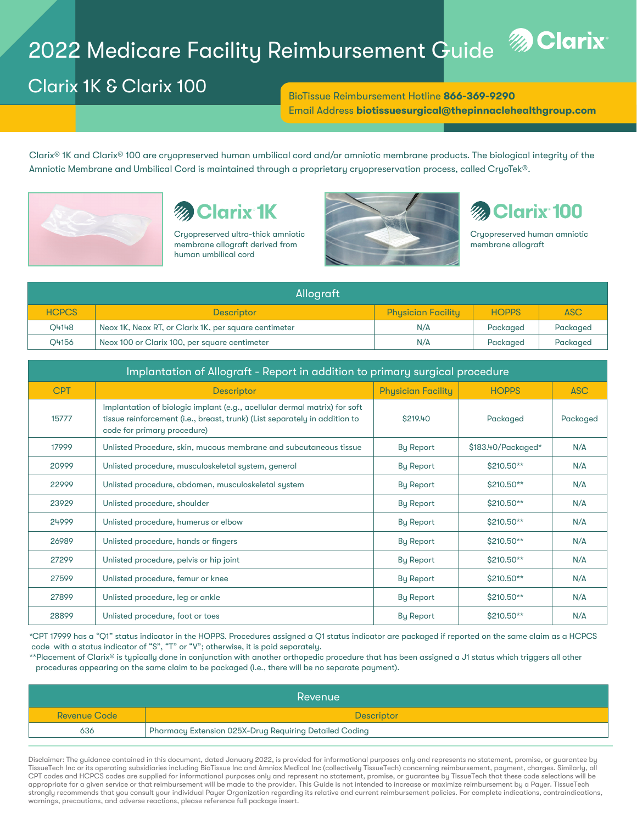# 2022 Medicare Facility Reimbursement Guide



## Clarix 1K & Clarix 100

BioTissue Reimbursement Hotline 866-369-9290 Email Address biotissuesurgical@thepinnaclehealthgroup.com

Clarix® 1K and Clarix® 100 are cryopreserved human umbilical cord and/or amniotic membrane products. The biological integrity of the Amniotic Membrane and Umbilical Cord is maintained through a proprietary cryopreservation process, called CryoTek®.



## **Clarix 1K**

Cryopreserved ultra-thick amniotic membrane allograft derived from human umbilical cord



## **Clarix 100**

Cryopreserved human amniotic membrane allograft

| Allograft    |                                                       |                           |              |            |  |
|--------------|-------------------------------------------------------|---------------------------|--------------|------------|--|
| <b>HCPCS</b> | <b>Descriptor</b>                                     | <b>Physician Facility</b> | <b>HOPPS</b> | <b>ASC</b> |  |
| 04148        | Neox 1K, Neox RT, or Clarix 1K, per square centimeter | N/A                       | Packaged     | Packaged   |  |
| O4156        | Neox 100 or Clarix 100, per square centimeter         | N/A                       | Packaged     | Packaged   |  |

| Implantation of Allograft - Report in addition to primary surgical procedure |                                                                                                                                                                                        |                           |                    |            |  |
|------------------------------------------------------------------------------|----------------------------------------------------------------------------------------------------------------------------------------------------------------------------------------|---------------------------|--------------------|------------|--|
| <b>CPT</b>                                                                   | <b>Descriptor</b>                                                                                                                                                                      | <b>Physician Facility</b> | <b>HOPPS</b>       | <b>ASC</b> |  |
| 15777                                                                        | Implantation of biologic implant (e.g., acellular dermal matrix) for soft<br>tissue reinforcement (i.e., breast, trunk) (List separately in addition to<br>code for primary procedure) | <b>\$219.40</b>           | Packaged           | Packaged   |  |
| 17999                                                                        | Unlisted Procedure, skin, mucous membrane and subcutaneous tissue                                                                                                                      | <b>By Report</b>          | \$183.40/Packaged* | N/A        |  |
| 20999                                                                        | Unlisted procedure, musculoskeletal system, general                                                                                                                                    | <b>By Report</b>          | $$210.50**$        | N/A        |  |
| 22999                                                                        | Unlisted procedure, abdomen, musculoskeletal system                                                                                                                                    | <b>By Report</b>          | $$210.50**$        | N/A        |  |
| 23929                                                                        | Unlisted procedure, shoulder                                                                                                                                                           | <b>By Report</b>          | $$210.50**$        | N/A        |  |
| 24999                                                                        | Unlisted procedure, humerus or elbow                                                                                                                                                   | <b>By Report</b>          | $$210.50**$$       | N/A        |  |
| 26989                                                                        | Unlisted procedure, hands or fingers                                                                                                                                                   | <b>By Report</b>          | $$210.50**$        | N/A        |  |
| 27299                                                                        | Unlisted procedure, pelvis or hip joint                                                                                                                                                | <b>By Report</b>          | $$210.50**$        | N/A        |  |
| 27599                                                                        | Unlisted procedure, femur or knee                                                                                                                                                      | <b>By Report</b>          | $$210.50**$        | N/A        |  |
| 27899                                                                        | Unlisted procedure, leg or ankle                                                                                                                                                       | <b>By Report</b>          | $$210.50**$$       | N/A        |  |
| 28899                                                                        | Unlisted procedure, foot or toes                                                                                                                                                       | <b>By Report</b>          | $$210.50**$        | N/A        |  |

\*CPT 17999 has a "Q1" status indicator in the HOPPS. Procedures assigned a Q1 status indicator are packaged if reported on the same claim as a HCPCS code with a status indicator of "S", "T" or "V"; otherwise, it is paid separately.

\*\*Placement of Clarix® is typically done in conjunction with another orthopedic procedure that has been assigned a J1 status which triggers all other procedures appearing on the same claim to be packaged (i.e., there will be no separate payment).

| Revenue             |                                                        |  |  |  |
|---------------------|--------------------------------------------------------|--|--|--|
| <b>Revenue Code</b> | Descriptor                                             |  |  |  |
| 636                 | Pharmacy Extension 025X-Drug Requiring Detailed Coding |  |  |  |

Disclaimer: The guidance contained in this document, dated January 2022, is provided for informational purposes only and represents no statement, promise, or guarantee by TissueTech Inc or its operating subsidiaries including BioTissue Inc and Amniox Medical Inc (collectively TissueTech) concerning reimbursement, payment, charges. Similarly, all CPT codes and HCPCS codes are supplied for informational purposes only and represent no statement, promise, or guarantee by TissueTech that these code selections will be appropriate for a given service or that reimbursement will be made to the provider. This Guide is not intended to increase or maximize reimbursement by a Payer. TissueTech strongly recommends that you consult your individual Payer Organization regarding its relative and current reimbursement policies. For complete indications, contraindications, warnings, precautions, and adverse reactions, please reference full package insert.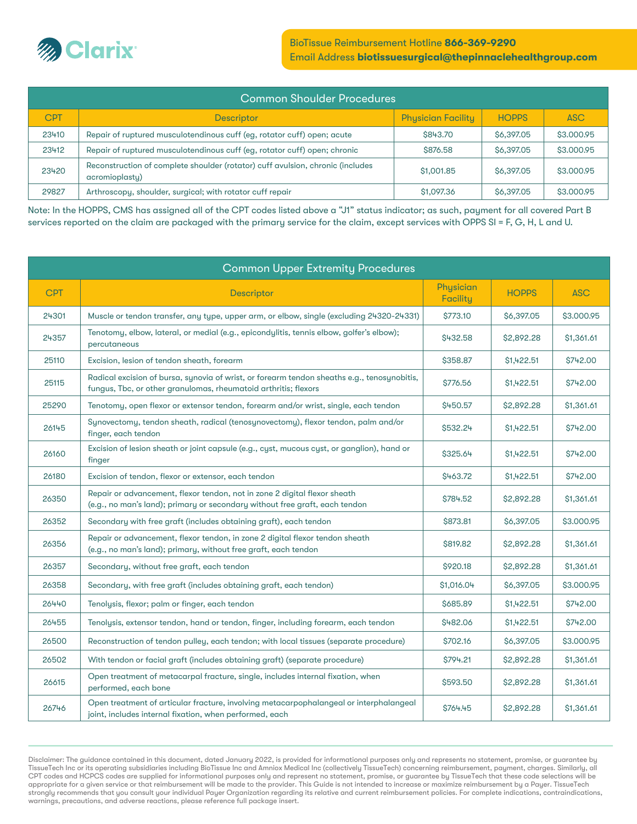

| <b>Common Shoulder Procedures</b> |                                                                                                  |                           |              |            |  |
|-----------------------------------|--------------------------------------------------------------------------------------------------|---------------------------|--------------|------------|--|
| <b>CPT</b>                        | <b>Descriptor</b>                                                                                | <b>Physician Facility</b> | <b>HOPPS</b> | <b>ASC</b> |  |
| 23410                             | Repair of ruptured musculotendinous cuff (eg, rotator cuff) open; acute                          | \$843.70                  | \$6,397.05   | \$3,000.95 |  |
| 23412                             | Repair of ruptured musculotendinous cuff (eg, rotator cuff) open; chronic                        | \$876.58                  | \$6,397.05   | \$3,000.95 |  |
| 23420                             | Reconstruction of complete shoulder (rotator) cuff avulsion, chronic (includes<br>acromioplastu) | \$1,001.85                | \$6,397.05   | \$3,000.95 |  |
| 29827                             | Arthroscopy, shoulder, surgical; with rotator cuff repair                                        | \$1,097.36                | \$6,397.05   | \$3,000.95 |  |

Note: In the HOPPS, CMS has assigned all of the CPT codes listed above a "J1" status indicator; as such, payment for all covered Part B services reported on the claim are packaged with the primary service for the claim, except services with OPPS SI = F, G, H, L and U.

| <b>Common Upper Extremity Procedures</b> |                                                                                                                                                                |                       |              |                 |
|------------------------------------------|----------------------------------------------------------------------------------------------------------------------------------------------------------------|-----------------------|--------------|-----------------|
| <b>CPT</b>                               | <b>Descriptor</b>                                                                                                                                              | Physician<br>Facility | <b>HOPPS</b> | <b>ASC</b>      |
| 24301                                    | Muscle or tendon transfer, any type, upper arm, or elbow, single (excluding 24320-24331)                                                                       | \$773.10              | \$6,397.05   | \$3.000.95      |
| 24357                                    | Tenotomy, elbow, lateral, or medial (e.g., epicondylitis, tennis elbow, golfer's elbow);<br>percutaneous                                                       | \$432.58              | \$2,892.28   | \$1,361.61      |
| 25110                                    | Excision, lesion of tendon sheath, forearm                                                                                                                     | \$358.87              | \$1,422.51   | \$742.00        |
| 25115                                    | Radical excision of bursa, synovia of wrist, or forearm tendon sheaths e.g., tenosynobitis,<br>fungus, Tbc, or other granulomas, rheumatoid arthritis; flexors | \$776.56              | \$1,422.51   | \$742.00        |
| 25290                                    | Tenotomy, open flexor or extensor tendon, forearm and/or wrist, single, each tendon                                                                            | \$450.57              | \$2,892.28   | \$1,361.61      |
| 26145                                    | Synovectomy, tendon sheath, radical (tenosynovectomy), flexor tendon, palm and/or<br>finger, each tendon                                                       | \$532.24              | \$1,422.51   | \$742.00        |
| 26160                                    | Excision of lesion sheath or joint capsule (e.g., cyst, mucous cyst, or ganglion), hand or<br>finger                                                           | \$325.64              | \$1,422.51   | <b>\$742.00</b> |
| 26180                                    | Excision of tendon, flexor or extensor, each tendon                                                                                                            | \$463.72              | \$1,422.51   | \$742.00        |
| 26350                                    | Repair or advancement, flexor tendon, not in zone 2 digital flexor sheath<br>(e.g., no man's land); primary or secondary without free graft, each tendon       | S784.52               | \$2,892.28   | \$1,361.61      |
| 26352                                    | Secondary with free graft (includes obtaining graft), each tendon                                                                                              | \$873.81              | \$6,397.05   | \$3.000.95      |
| 26356                                    | Repair or advancement, flexor tendon, in zone 2 digital flexor tendon sheath<br>(e.g., no man's land); primary, without free graft, each tendon                | \$819.82              | \$2,892.28   | \$1,361.61      |
| 26357                                    | Secondary, without free graft, each tendon                                                                                                                     | \$920.18              | \$2,892.28   | \$1,361.61      |
| 26358                                    | Secondary, with free graft (includes obtaining graft, each tendon)                                                                                             | \$1,016.04            | \$6,397.05   | \$3.000.95      |
| 26440                                    | Tenolysis, flexor; palm or finger, each tendon                                                                                                                 | \$685.89              | \$1,422.51   | \$742.00        |
| 26455                                    | Tenolysis, extensor tendon, hand or tendon, finger, including forearm, each tendon                                                                             | \$482.06              | \$1,422.51   | \$742.00        |
| 26500                                    | Reconstruction of tendon pulley, each tendon; with local tissues (separate procedure)                                                                          | \$702.16              | \$6,397.05   | \$3,000.95      |
| 26502                                    | With tendon or facial graft (includes obtaining graft) (separate procedure)                                                                                    | \$794.21              | \$2,892.28   | \$1,361.61      |
| 26615                                    | Open treatment of metacarpal fracture, single, includes internal fixation, when<br>performed, each bone                                                        | \$593.50              | \$2,892.28   | \$1,361.61      |
| 26746                                    | Open treatment of articular fracture, involving metacarpophalangeal or interphalangeal<br>joint, includes internal fixation, when performed, each              | <b>\$764.45</b>       | \$2,892.28   | \$1,361.61      |

Disclaimer: The guidance contained in this document, dated January 2022, is provided for informational purposes only and represents no statement, promise, or guarantee by TissueTech Inc or its operating subsidiaries including BioTissue Inc and Amniox Medical Inc (collectively TissueTech) concerning reimbursement, payment, charges. Similarly, all CPT codes and HCPCS codes are supplied for informational purposes only and represent no statement, promise, or guarantee by TissueTech that these code selections will be appropriate for a given service or that reimbursement will be made to the provider. This Guide is not intended to increase or maximize reimbursement by a Payer. TissueTech<br>strongly recommends that you consult your individu warnings, precautions, and adverse reactions, please reference full package insert.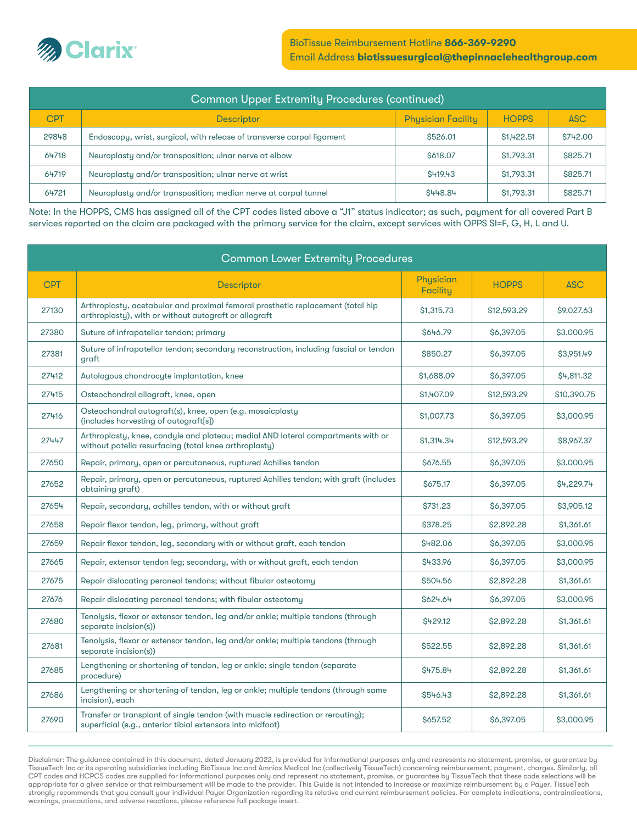

| Common Upper Extremity Procedures (continued) |                                                                        |                           |              |                 |  |
|-----------------------------------------------|------------------------------------------------------------------------|---------------------------|--------------|-----------------|--|
| <b>CPT</b>                                    | <b>Descriptor</b>                                                      | <b>Physician Facility</b> | <b>HOPPS</b> | <b>ASC</b>      |  |
| 29848                                         | Endoscopy, wrist, surgical, with release of transverse carpal ligament | \$526.01                  | \$1,422.51   | <b>\$742.00</b> |  |
| 64718                                         | Neuroplasty and/or transposition; ulnar nerve at elbow                 | \$618.07                  | \$1,793.31   | \$825.71        |  |
| 64719                                         | Neuroplasty and/or transposition; ulnar nerve at wrist                 | S419.43                   | \$1,793.31   | \$825.71        |  |
| 64721                                         | Neuroplasty and/or transposition; median nerve at carpal tunnel        | S448.84                   | \$1,793.31   | \$825.71        |  |

Note: In the HOPPS, CMS has assigned all of the CPT codes listed above a "J1" status indicator; as such, payment for all covered Part B services reported on the claim are packaged with the primary service for the claim, except services with OPPS SI=F, G, H, L and U.

| <b>Common Lower Extremity Procedures</b> |                                                                                                                                               |                       |              |             |
|------------------------------------------|-----------------------------------------------------------------------------------------------------------------------------------------------|-----------------------|--------------|-------------|
| <b>CPT</b>                               | Descriptor                                                                                                                                    | Physician<br>Facility | <b>HOPPS</b> | <b>ASC</b>  |
| 27130                                    | Arthroplasty, acetabular and proximal femoral prosthetic replacement (total hip<br>arthroplasty), with or without autograft or allograft      | \$1,315.73            | \$12,593.29  | \$9.027.63  |
| 27380                                    | Suture of infrapatellar tendon; primary                                                                                                       | S646.79               | \$6,397.05   | \$3,000.95  |
| 27381                                    | Suture of infrapatellar tendon; secondary reconstruction, including fascial or tendon<br>graft                                                | \$850.27              | \$6,397.05   | \$3,951.49  |
| 27412                                    | Autologous chondrocyte implantation, knee                                                                                                     | \$1,688.09            | \$6,397.05   | \$4,811.32  |
| 27415                                    | Osteochondral allograft, knee, open                                                                                                           | \$1,407.09            | \$12,593.29  | \$10,390.75 |
| 27416                                    | Osteochondral autograft(s), knee, open (e.g. mosaicplasty<br>(includes harvesting of autograft[s])                                            | \$1,007.73            | \$6,397.05   | \$3,000.95  |
| 27447                                    | Arthroplasty, knee, condyle and plateau; medial AND lateral compartments with or<br>without patella resurfacing (total knee arthroplasty)     | \$1,314.34            | \$12,593.29  | \$8,967.37  |
| 27650                                    | Repair, primary, open or percutaneous, ruptured Achilles tendon                                                                               | \$676.55              | \$6,397.05   | \$3.000.95  |
| 27652                                    | Repair, primary, open or percutaneous, ruptured Achilles tendon; with graft (includes<br>obtaining graft)                                     | <b>S675.17</b>        | \$6,397.05   | \$4,229.74  |
| 27654                                    | Repair, secondary, achilles tendon, with or without graft                                                                                     | <b>\$731.23</b>       | \$6,397.05   | \$3,905.12  |
| 27658                                    | Repair flexor tendon, leg, primary, without graft                                                                                             | \$378.25              | \$2,892.28   | \$1,361.61  |
| 27659                                    | Repair flexor tendon, leg, secondary with or without graft, each tendon                                                                       | <b>\$482.06</b>       | \$6,397.05   | \$3,000.95  |
| 27665                                    | Repair, extensor tendon leg; secondary, with or without graft, each tendon                                                                    | \$433.96              | \$6,397.05   | \$3,000.95  |
| 27675                                    | Repair dislocating peroneal tendons; without fibular osteotomy                                                                                | \$504.56              | \$2,892.28   | \$1,361.61  |
| 27676                                    | Repair dislocating peroneal tendons; with fibular osteotomy                                                                                   | S624.64               | \$6,397.05   | \$3,000.95  |
| 27680                                    | Tenolysis, flexor or extensor tendon, leg and/or ankle; multiple tendons (through<br>separate incision(s))                                    | S429.12               | \$2,892.28   | \$1,361.61  |
| 27681                                    | Tenolysis, flexor or extensor tendon, leg and/or ankle; multiple tendons (through<br>separate incision(s))                                    | \$522.55              | \$2,892.28   | \$1,361.61  |
| 27685                                    | Lengthening or shortening of tendon, leg or ankle; single tendon (separate<br>procedure)                                                      | \$475.84              | \$2,892.28   | \$1,361.61  |
| 27686                                    | Lengthening or shortening of tendon, leg or ankle; multiple tendons (through same<br>incision), each                                          | \$546.43              | \$2,892.28   | \$1,361.61  |
| 27690                                    | Transfer or transplant of single tendon (with muscle redirection or rerouting);<br>superficial (e.g., anterior tibial extensors into midfoot) | \$657.52              | \$6,397.05   | \$3,000.95  |

Disclaimer: The guidance contained in this document, dated January 2022, is provided for informational purposes only and represents no statement, promise, or guarantee by<br>TissueTech Inc or its operating subsidiaries includ CPT codes and HCPCS codes are supplied for informational purposes only and represent no statement, promise, or guarantee by TissueTech that these code selections will be appropriate for a given service or that reimbursement will be made to the provider. This Guide is not intended to increase or maximize reimbursement by a Payer. TissueTech<br>strongly recommends that you consult your individu warnings, precautions, and adverse reactions, please reference full package insert.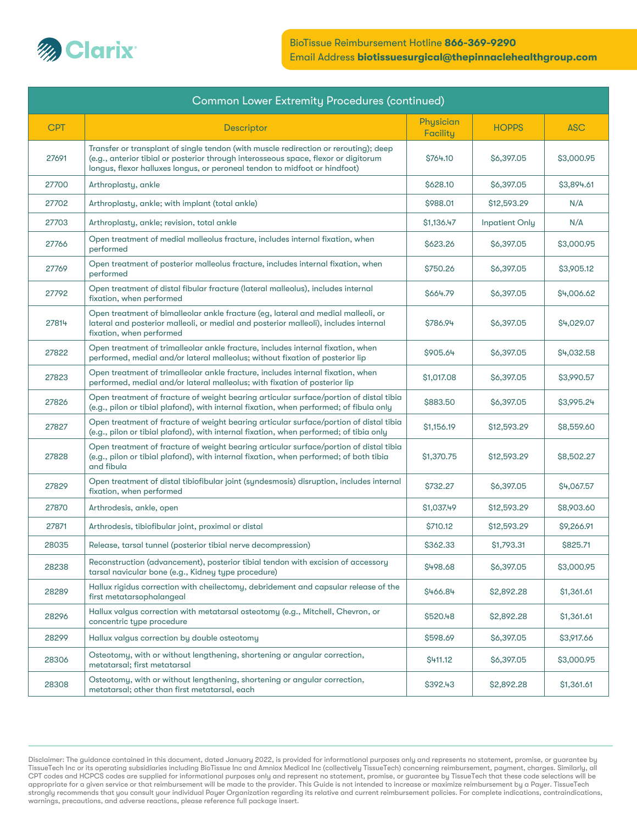

| <b>Common Lower Extremity Procedures (continued)</b> |                                                                                                                                                                                                                                                           |                       |                       |            |
|------------------------------------------------------|-----------------------------------------------------------------------------------------------------------------------------------------------------------------------------------------------------------------------------------------------------------|-----------------------|-----------------------|------------|
| <b>CPT</b>                                           | Descriptor                                                                                                                                                                                                                                                | Physician<br>Facility | <b>HOPPS</b>          | <b>ASC</b> |
| 27691                                                | Transfer or transplant of single tendon (with muscle redirection or rerouting); deep<br>(e.g., anterior tibial or posterior through interosseous space, flexor or digitorum<br>longus, flexor halluxes longus, or peroneal tendon to midfoot or hindfoot) | \$764.10              | \$6,397.05            | \$3,000.95 |
| 27700                                                | Arthroplasty, ankle                                                                                                                                                                                                                                       | \$628.10              | \$6,397.05            | \$3,894.61 |
| 27702                                                | Arthroplasty, ankle; with implant (total ankle)                                                                                                                                                                                                           | \$988.01              | \$12,593.29           | N/A        |
| 27703                                                | Arthroplasty, ankle; revision, total ankle                                                                                                                                                                                                                | \$1,136.47            | <b>Inpatient Only</b> | N/A        |
| 27766                                                | Open treatment of medial malleolus fracture, includes internal fixation, when<br>performed                                                                                                                                                                | \$623.26              | \$6,397.05            | \$3,000.95 |
| 27769                                                | Open treatment of posterior malleolus fracture, includes internal fixation, when<br>performed                                                                                                                                                             | \$750.26              | \$6,397.05            | \$3,905.12 |
| 27792                                                | Open treatment of distal fibular fracture (lateral malleolus), includes internal<br>fixation, when performed                                                                                                                                              | \$664.79              | \$6,397.05            | \$4,006.62 |
| 27814                                                | Open treatment of bimalleolar ankle fracture (eg, lateral and medial malleoli, or<br>lateral and posterior malleoli, or medial and posterior malleoli), includes internal<br>fixation, when performed                                                     | \$786.94              | \$6,397.05            | \$4,029.07 |
| 27822                                                | Open treatment of trimalleolar ankle fracture, includes internal fixation, when<br>performed, medial and/or lateral malleolus; without fixation of posterior lip                                                                                          | \$905.64              | \$6,397.05            | \$4,032.58 |
| 27823                                                | Open treatment of trimalleolar ankle fracture, includes internal fixation, when<br>performed, medial and/or lateral malleolus; with fixation of posterior lip                                                                                             | \$1,017.08            | \$6,397.05            | \$3,990.57 |
| 27826                                                | Open treatment of fracture of weight bearing articular surface/portion of distal tibia<br>(e.g., pilon or tibial plafond), with internal fixation, when performed; of fibula only                                                                         | \$883.50              | \$6,397.05            | \$3,995.24 |
| 27827                                                | Open treatment of fracture of weight bearing articular surface/portion of distal tibia<br>(e.g., pilon or tibial plafond), with internal fixation, when performed; of tibia only                                                                          | \$1,156.19            | \$12,593.29           | \$8,559.60 |
| 27828                                                | Open treatment of fracture of weight bearing articular surface/portion of distal tibia<br>(e.g., pilon or tibial plafond), with internal fixation, when performed; of both tibia<br>and fibula                                                            | \$1,370.75            | \$12,593.29           | \$8,502.27 |
| 27829                                                | Open treatment of distal tibiofibular joint (syndesmosis) disruption, includes internal<br>fixation, when performed                                                                                                                                       | \$732.27              | \$6,397.05            | \$4,067.57 |
| 27870                                                | Arthrodesis, ankle, open                                                                                                                                                                                                                                  | \$1,037.49            | \$12,593.29           | \$8,903.60 |
| 27871                                                | Arthrodesis, tibiofibular joint, proximal or distal                                                                                                                                                                                                       | \$710.12              | \$12,593.29           | \$9,266.91 |
| 28035                                                | Release, tarsal tunnel (posterior tibial nerve decompression)                                                                                                                                                                                             | \$362.33              | \$1,793.31            | \$825.71   |
| 28238                                                | Reconstruction (advancement), posterior tibial tendon with excision of accessory<br>tarsal navicular bone (e.g., Kidney type procedure)                                                                                                                   | \$498.68              | \$6,397.05            | \$3,000.95 |
| 28289                                                | Hallux rigidus correction with cheilectomy, debridement and capsular release of the<br>first metatarsophalangeal                                                                                                                                          | \$466.84              | \$2,892.28            | \$1,361.61 |
| 28296                                                | Hallux valgus correction with metatarsal osteotomy (e.g., Mitchell, Chevron, or<br>concentric type procedure                                                                                                                                              | \$520.48              | \$2,892.28            | \$1,361.61 |
| 28299                                                | Hallux valgus correction by double osteotomy                                                                                                                                                                                                              | \$598.69              | \$6,397.05            | \$3,917.66 |
| 28306                                                | Osteotomy, with or without lengthening, shortening or angular correction,<br>metatarsal; first metatarsal                                                                                                                                                 | \$411.12              | \$6,397.05            | \$3,000.95 |
| 28308                                                | Osteotomy, with or without lengthening, shortening or angular correction,<br>metatarsal; other than first metatarsal, each                                                                                                                                | \$392.43              | \$2,892.28            | \$1,361.61 |

Disclaimer: The guidance contained in this document, dated January 2022, is provided for informational purposes only and represents no statement, promise, or guarantee by<br>TissueTech Inc or its operating subsidiaries includ CPT codes and HCPCS codes are supplied for informational purposes only and represent no statement, promise, or guarantee by TissueTech that these code selections will be appropriate for a given service or that reimbursement will be made to the provider. This Guide is not intended to increase or maximize reimbursement by a Payer. TissueTech<br>strongly recommends that you consult your individu warnings, precautions, and adverse reactions, please reference full package insert.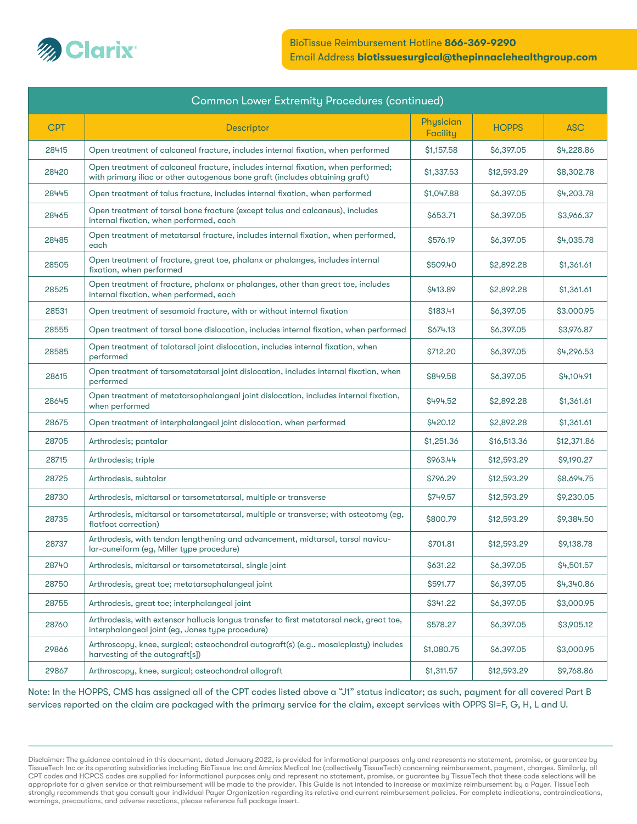

| <b>Common Lower Extremity Procedures (continued)</b> |                                                                                                                                                                   |                       |              |                   |  |
|------------------------------------------------------|-------------------------------------------------------------------------------------------------------------------------------------------------------------------|-----------------------|--------------|-------------------|--|
| <b>CPT</b>                                           | Descriptor                                                                                                                                                        | Physician<br>Facility | <b>HOPPS</b> | <b>ASC</b>        |  |
| 28415                                                | Open treatment of calcaneal fracture, includes internal fixation, when performed                                                                                  | \$1,157.58            | \$6,397.05   | \$4,228.86        |  |
| 28420                                                | Open treatment of calcaneal fracture, includes internal fixation, when performed;<br>with primary iliac or other autogenous bone graft (includes obtaining graft) | \$1,337.53            | \$12,593.29  | \$8,302.78        |  |
| 28445                                                | Open treatment of talus fracture, includes internal fixation, when performed                                                                                      | \$1,047.88            | \$6,397.05   | \$4,203.78        |  |
| 28465                                                | Open treatment of tarsal bone fracture (except talus and calcaneus), includes<br>internal fixation, when performed, each                                          | \$653.71              | \$6,397.05   | \$3,966.37        |  |
| 28485                                                | Open treatment of metatarsal fracture, includes internal fixation, when performed,<br>each                                                                        | \$576.19              | \$6,397.05   | <b>\$4,035.78</b> |  |
| 28505                                                | Open treatment of fracture, great toe, phalanx or phalanges, includes internal<br>fixation, when performed                                                        | \$509.40              | \$2,892.28   | \$1,361.61        |  |
| 28525                                                | Open treatment of fracture, phalanx or phalanges, other than great toe, includes<br>internal fixation, when performed, each                                       | S413.89               | \$2,892.28   | \$1,361.61        |  |
| 28531                                                | Open treatment of sesamoid fracture, with or without internal fixation                                                                                            | \$183.41              | \$6,397.05   | \$3.000.95        |  |
| 28555                                                | Open treatment of tarsal bone dislocation, includes internal fixation, when performed                                                                             | \$674.13              | \$6,397.05   | \$3,976.87        |  |
| 28585                                                | Open treatment of talotarsal joint dislocation, includes internal fixation, when<br>performed                                                                     | \$712.20              | \$6,397.05   | \$4,296.53        |  |
| 28615                                                | Open treatment of tarsometatarsal joint dislocation, includes internal fixation, when<br>performed                                                                | \$849.58              | \$6,397.05   | \$4,104.91        |  |
| 28645                                                | Open treatment of metatarsophalangeal joint dislocation, includes internal fixation,<br>when performed                                                            | \$494.52              | \$2,892.28   | \$1,361.61        |  |
| 28675                                                | Open treatment of interphalangeal joint dislocation, when performed                                                                                               | \$420.12              | \$2,892.28   | \$1,361.61        |  |
| 28705                                                | Arthrodesis; pantalar                                                                                                                                             | \$1,251.36            | \$16,513.36  | \$12,371.86       |  |
| 28715                                                | Arthrodesis; triple                                                                                                                                               | \$963.44              | \$12,593.29  | \$9,190.27        |  |
| 28725                                                | Arthrodesis, subtalar                                                                                                                                             | \$796.29              | \$12,593.29  | \$8,694.75        |  |
| 28730                                                | Arthrodesis, midtarsal or tarsometatarsal, multiple or transverse                                                                                                 | \$749.57              | \$12,593.29  | \$9,230.05        |  |
| 28735                                                | Arthrodesis, midtarsal or tarsometatarsal, multiple or transverse; with osteotomy (eg,<br>flatfoot correction)                                                    | \$800.79              | \$12,593.29  | \$9,384.50        |  |
| 28737                                                | Arthrodesis, with tendon lengthening and advancement, midtarsal, tarsal navicu-<br>lar-cuneiform (eg, Miller type procedure)                                      | \$701.81              | \$12,593.29  | \$9,138.78        |  |
| 28740                                                | Arthrodesis, midtarsal or tarsometatarsal, single joint                                                                                                           | \$631.22              | \$6,397.05   | \$4,501.57        |  |
| 28750                                                | Arthrodesis, great toe; metatarsophalangeal joint                                                                                                                 | \$591.77              | \$6,397.05   | \$4,340.86        |  |
| 28755                                                | Arthrodesis, great toe; interphalangeal joint                                                                                                                     | \$341.22              | \$6,397.05   | \$3,000.95        |  |
| 28760                                                | Arthrodesis, with extensor hallucis longus transfer to first metatarsal neck, great toe,<br>interphalangeal joint (eg, Jones type procedure)                      | \$578.27              | \$6,397.05   | \$3,905.12        |  |
| 29866                                                | Arthroscopy, knee, surgical; osteochondral autograft(s) (e.g., mosaicplasty) includes<br>harvesting of the autograft[s])                                          | \$1,080.75            | \$6,397.05   | \$3,000.95        |  |
| 29867                                                | Arthroscopy, knee, surgical; osteochondral allograft                                                                                                              | \$1,311.57            | \$12,593.29  | \$9,768.86        |  |

Note: In the HOPPS, CMS has assigned all of the CPT codes listed above a "J1" status indicator; as such, payment for all covered Part B services reported on the claim are packaged with the primary service for the claim, except services with OPPS SI=F, G, H, L and U.

Disclaimer: The guidance contained in this document, dated January 2022, is provided for informational purposes only and represents no statement, promise, or guarantee by TissueTech Inc or its operating subsidiaries including BioTissue Inc and Amniox Medical Inc (collectively TissueTech) concerning reimbursement, payment, charges. Similarly, all CPT codes and HCPCS codes are supplied for informational purposes only and represent no statement, promise, or guarantee by TissueTech that these code selections will be appropriate for a given service or that reimbursement will be made to the provider. This Guide is not intended to increase or maximize reimbursement by a Payer. TissueTech strongly recommends that you consult your individual Payer Organization regarding its relative and current reimbursement policies. For complete indications, contraindications, warnings, precautions, and adverse reactions, please reference full package insert.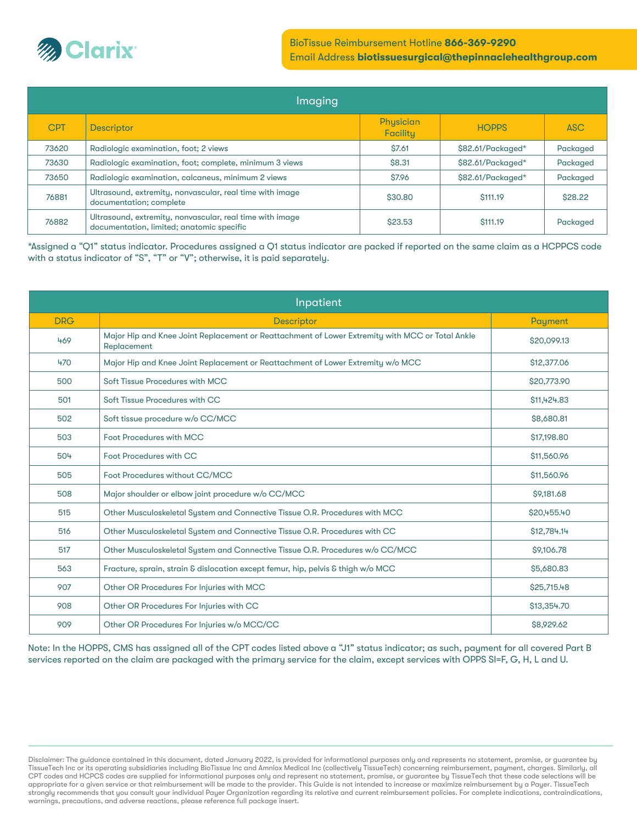

#### BioTissue Reimbursement Hotline 866-369-9290 Email Address biotissuesurgical@thepinnaclehealthgroup.com

| Imaging    |                                                                                                       |                              |                   |            |  |  |
|------------|-------------------------------------------------------------------------------------------------------|------------------------------|-------------------|------------|--|--|
| <b>CPT</b> | <b>Descriptor</b>                                                                                     | Physician<br><b>Facility</b> | <b>HOPPS</b>      | <b>ASC</b> |  |  |
| 73620      | Radiologic examination, foot; 2 views                                                                 | \$7.61                       | \$82.61/Packaged* | Packaged   |  |  |
| 73630      | Radiologic examination, foot; complete, minimum 3 views                                               | \$8.31                       | \$82.61/Packaged* | Packaged   |  |  |
| 73650      | Radiologic examination, calcaneus, minimum 2 views                                                    | \$7.96                       | \$82.61/Packaged* | Packaged   |  |  |
| 76881      | Ultrasound, extremity, nonvascular, real time with image<br>documentation; complete                   | \$30.80                      | \$111.19          | \$28.22    |  |  |
| 76882      | Ultrasound, extremity, nonvascular, real time with image<br>documentation, limited; anatomic specific | \$23.53                      | \$111.19          | Packaged   |  |  |

\*Assigned a "Q1" status indicator. Procedures assigned a Q1 status indicator are packed if reported on the same claim as a HCPPCS code with a status indicator of "S", "T" or "V"; otherwise, it is paid separately.

| Inpatient  |                                                                                                                |             |  |  |
|------------|----------------------------------------------------------------------------------------------------------------|-------------|--|--|
| <b>DRG</b> | <b>Descriptor</b>                                                                                              | Payment     |  |  |
| 469        | Major Hip and Knee Joint Replacement or Reattachment of Lower Extremity with MCC or Total Ankle<br>Replacement | \$20,099.13 |  |  |
| 470        | Major Hip and Knee Joint Replacement or Reattachment of Lower Extremity w/o MCC                                | \$12,377.06 |  |  |
| 500        | Soft Tissue Procedures with MCC                                                                                | \$20,773.90 |  |  |
| 501        | Soft Tissue Procedures with CC                                                                                 | \$11,424.83 |  |  |
| 502        | Soft tissue procedure w/o CC/MCC                                                                               | \$8,680.81  |  |  |
| 503        | Foot Procedures with MCC                                                                                       | \$17,198.80 |  |  |
| 504        | Foot Procedures with CC                                                                                        | \$11,560.96 |  |  |
| 505        | Foot Procedures without CC/MCC                                                                                 | \$11,560.96 |  |  |
| 508        | Major shoulder or elbow joint procedure w/o CC/MCC                                                             | \$9,181.68  |  |  |
| 515        | Other Musculoskeletal System and Connective Tissue O.R. Procedures with MCC                                    | \$20,455,40 |  |  |
| 516        | Other Musculoskeletal System and Connective Tissue O.R. Procedures with CC                                     | \$12,784.14 |  |  |
| 517        | Other Musculoskeletal System and Connective Tissue O.R. Procedures w/o CC/MCC                                  | \$9,106.78  |  |  |
| 563        | Fracture, sprain, strain & dislocation except femur, hip, pelvis & thigh w/o MCC                               | \$5,680.83  |  |  |
| 907        | Other OR Procedures For Injuries with MCC                                                                      | \$25,715.48 |  |  |
| 908        | Other OR Procedures For Injuries with CC                                                                       | \$13,354.70 |  |  |
| 909        | Other OR Procedures For Injuries w/o MCC/CC                                                                    | \$8,929.62  |  |  |

Note: In the HOPPS, CMS has assigned all of the CPT codes listed above a "J1" status indicator; as such, payment for all covered Part B services reported on the claim are packaged with the primary service for the claim, except services with OPPS SI=F, G, H, L and U.

Disclaimer: The guidance contained in this document, dated January 2022, is provided for informational purposes only and represents no statement, promise, or guarantee by TissueTech Inc or its operating subsidiaries including BioTissue Inc and Amniox Medical Inc (collectively TissueTech) concerning reimbursement, payment, charges. Similarly, all CPT codes and HCPCS codes are supplied for informational purposes only and represent no statement, promise, or guarantee by TissueTech that these code selections will be appropriate for a given service or that reimbursement will be made to the provider. This Guide is not intended to increase or maximize reimbursement by a Payer. TissueTech strongly recommends that you consult your individual Payer Organization regarding its relative and current reimbursement policies. For complete indications, contraindications, warnings, precautions, and adverse reactions, please reference full package insert.